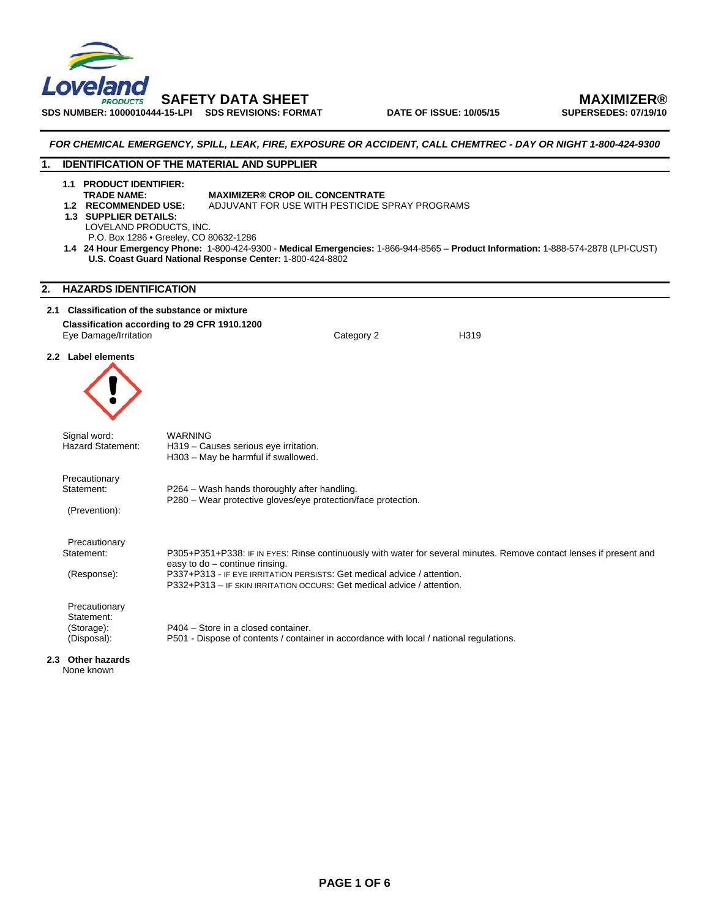

# *FOR CHEMICAL EMERGENCY, SPILL, LEAK, FIRE, EXPOSURE OR ACCIDENT, CALL CHEMTREC - DAY OR NIGHT 1-800-424-9300*

#### **1. IDENTIFICATION OF THE MATERIAL AND SUPPLIER**

**1.1 PRODUCT IDENTIFIER:** 

# **TRADE NAME:** MAXIMIZER® CROP OIL CONCENTRATE<br>1.2 RECOMMENDED USE: ADJUVANT FOR USE WITH PESTICIDE S

- 
- **1.3 SUPPLIER DETAILS:**

 **1.2 RECOMMENDED USE:** ADJUVANT FOR USE WITH PESTICIDE SPRAY PROGRAMS

- LOVELAND PRODUCTS, INC.
- P.O. Box 1286 Greeley, CO 80632-1286
- **1.4 24 Hour Emergency Phone:** 1-800-424-9300 **Medical Emergencies:** 1-866-944-8565 **Product Information:** 1-888-574-2878 (LPI-CUST) **U.S. Coast Guard National Response Center:** 1-800-424-8802

# **2. HAZARDS IDENTIFICATION**

# **2.1 Classification of the substance or mixture Classification according to 29 CFR 1910.1200**  Eye Damage/Irritation Category 2 H319

**2.2 Label elements** 



Signal word: WARNING

| <b>Hazard Statement:</b>    | H319 - Causes serious eye irritation.<br>H303 - May be harmful if swallowed.                                                                          |
|-----------------------------|-------------------------------------------------------------------------------------------------------------------------------------------------------|
| Precautionary               |                                                                                                                                                       |
| Statement:                  | P264 – Wash hands thoroughly after handling.<br>P280 – Wear protective gloves/eye protection/face protection.                                         |
| (Prevention):               |                                                                                                                                                       |
| Precautionary               |                                                                                                                                                       |
| Statement:                  | P305+P351+P338: IF IN EYES: Rinse continuously with water for several minutes. Remove contact lenses if present and<br>easy to do - continue rinsing. |
| (Response):                 | P337+P313 - IF EYE IRRITATION PERSISTS: Get medical advice / attention.<br>P332+P313 – IF SKIN IRRITATION OCCURS: Get medical advice / attention.     |
| Precautionary<br>Statement: |                                                                                                                                                       |
| (Storage):                  | P404 – Store in a closed container.                                                                                                                   |
| (Disposal):                 | P501 - Dispose of contents / container in accordance with local / national regulations.                                                               |

**2.3 Other hazards**  None known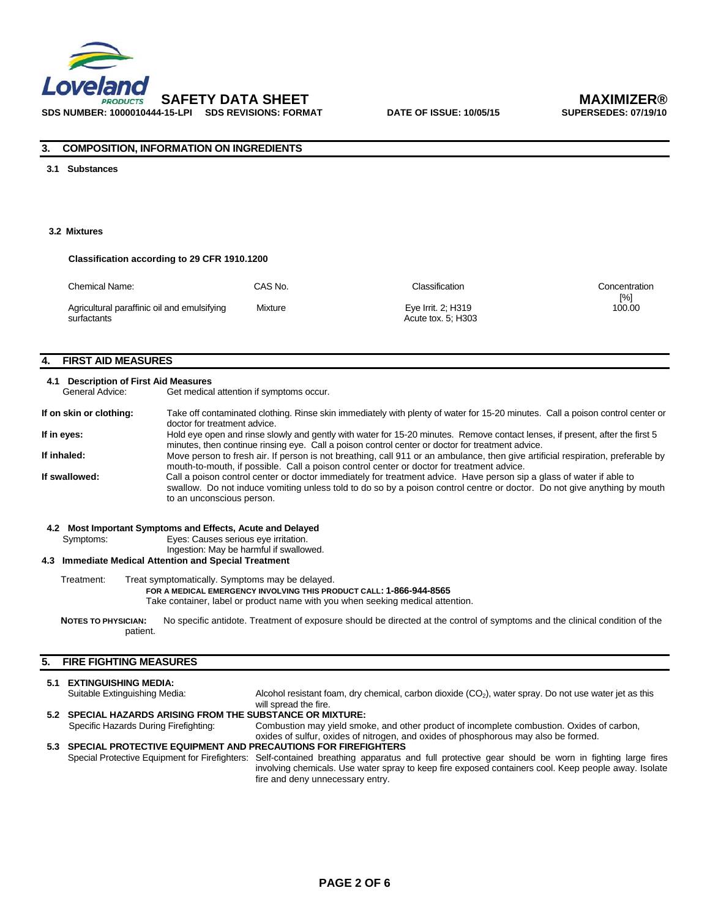

# **3. COMPOSITION, INFORMATION ON INGREDIENTS**

#### **3.1 Substances**

#### **3.2 Mixtures**

#### **Classification according to 29 CFR 1910.1200**

| Chemical Name:                                             | CAS No.        | Classification                           | Concentration<br>$\lceil\% \rceil$ |
|------------------------------------------------------------|----------------|------------------------------------------|------------------------------------|
| Agricultural paraffinic oil and emulsifying<br>surfactants | <b>Mixture</b> | Eye Irrit. 2; H319<br>Acute tox. 5: H303 | 100.00                             |

# **4. FIRST AID MEASURES**

|                                                                                                                                                                                                                                                                                                | 4.1 Description of First Aid Measures<br>General Advice:          | Get medical attention if symptoms occur.                                                                                                                                                                                         |  |  |  |
|------------------------------------------------------------------------------------------------------------------------------------------------------------------------------------------------------------------------------------------------------------------------------------------------|-------------------------------------------------------------------|----------------------------------------------------------------------------------------------------------------------------------------------------------------------------------------------------------------------------------|--|--|--|
|                                                                                                                                                                                                                                                                                                | If on skin or clothing:                                           | Take off contaminated clothing. Rinse skin immediately with plenty of water for 15-20 minutes. Call a poison control center or<br>doctor for treatment advice.                                                                   |  |  |  |
|                                                                                                                                                                                                                                                                                                | If in eyes:                                                       | Hold eye open and rinse slowly and gently with water for 15-20 minutes. Remove contact lenses, if present, after the first 5<br>minutes, then continue rinsing eye. Call a poison control center or doctor for treatment advice. |  |  |  |
|                                                                                                                                                                                                                                                                                                | If inhaled:                                                       | Move person to fresh air. If person is not breathing, call 911 or an ambulance, then give artificial respiration, preferable by<br>mouth-to-mouth, if possible. Call a poison control center or doctor for treatment advice.     |  |  |  |
| If swallowed:<br>Call a poison control center or doctor immediately for treatment advice. Have person sip a glass of water if able to<br>swallow. Do not induce vomiting unless told to do so by a poison control centre or doctor. Do not give anything by mouth<br>to an unconscious person. |                                                                   |                                                                                                                                                                                                                                  |  |  |  |
|                                                                                                                                                                                                                                                                                                | Symptoms:                                                         | 4.2 Most Important Symptoms and Effects, Acute and Delayed<br>Eyes: Causes serious eye irritation.<br>Ingestion: May be harmful if swallowed.<br>4.3 Immediate Medical Attention and Special Treatment                           |  |  |  |
|                                                                                                                                                                                                                                                                                                | Treatment:                                                        | Treat symptomatically. Symptoms may be delayed.<br>FOR A MEDICAL EMERGENCY INVOLVING THIS PRODUCT CALL: 1-866-944-8565<br>Take container, label or product name with you when seeking medical attention.                         |  |  |  |
|                                                                                                                                                                                                                                                                                                | <b>NOTES TO PHYSICIAN:</b><br>patient.                            | No specific antidote. Treatment of exposure should be directed at the control of symptoms and the clinical condition of the                                                                                                      |  |  |  |
| 5.                                                                                                                                                                                                                                                                                             | <b>FIRE FIGHTING MEASURES</b>                                     |                                                                                                                                                                                                                                  |  |  |  |
|                                                                                                                                                                                                                                                                                                | 5.1 EXTINGUISHING MEDIA:<br>Suitable Extinguishing Media:         | Alcohol resistant foam, dry chemical, carbon dioxide $(CO2)$ , water spray. Do not use water jet as this                                                                                                                         |  |  |  |
|                                                                                                                                                                                                                                                                                                |                                                                   | will spread the fire.<br>5.2 SPECIAL HAZARDS ARISING FROM THE SUBSTANCE OR MIXTURE:                                                                                                                                              |  |  |  |
|                                                                                                                                                                                                                                                                                                | Specific Hazards During Firefighting:                             | Combustion may yield smoke, and other product of incomplete combustion. Oxides of carbon,<br>oxides of sulfur, oxides of nitrogen, and oxides of phosphorous may also be formed.                                                 |  |  |  |
|                                                                                                                                                                                                                                                                                                | 5.3 SPECIAL PROTECTIVE EQUIPMENT AND PRECAUTIONS FOR FIREFIGHTERS |                                                                                                                                                                                                                                  |  |  |  |

Special Protective Equipment for Firefighters: Self-contained breathing apparatus and full protective gear should be worn in fighting large fires involving chemicals. Use water spray to keep fire exposed containers cool. Keep people away. Isolate fire and deny unnecessary entry.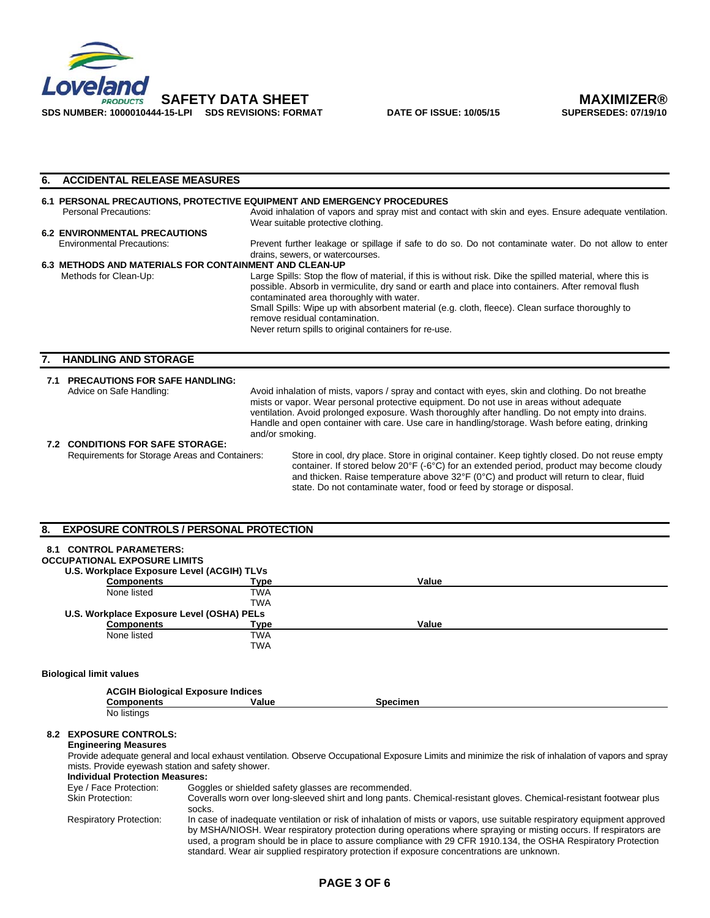

| 6.                                             | <b>ACCIDENTAL RELEASE MEASURES</b>                                      |                                                                                                                                                                                                                                                                                                                                                                                                                          |  |  |  |  |
|------------------------------------------------|-------------------------------------------------------------------------|--------------------------------------------------------------------------------------------------------------------------------------------------------------------------------------------------------------------------------------------------------------------------------------------------------------------------------------------------------------------------------------------------------------------------|--|--|--|--|
|                                                | 6.1 PERSONAL PRECAUTIONS, PROTECTIVE EQUIPMENT AND EMERGENCY PROCEDURES |                                                                                                                                                                                                                                                                                                                                                                                                                          |  |  |  |  |
|                                                | <b>Personal Precautions:</b>                                            | Avoid inhalation of vapors and spray mist and contact with skin and eyes. Ensure adequate ventilation.<br>Wear suitable protective clothing.                                                                                                                                                                                                                                                                             |  |  |  |  |
|                                                | <b>6.2 ENVIRONMENTAL PRECAUTIONS</b>                                    |                                                                                                                                                                                                                                                                                                                                                                                                                          |  |  |  |  |
|                                                | <b>Environmental Precautions:</b>                                       | Prevent further leakage or spillage if safe to do so. Do not contaminate water. Do not allow to enter<br>drains, sewers, or watercourses.                                                                                                                                                                                                                                                                                |  |  |  |  |
|                                                | 6.3 METHODS AND MATERIALS FOR CONTAINMENT AND CLEAN-UP                  |                                                                                                                                                                                                                                                                                                                                                                                                                          |  |  |  |  |
|                                                | Methods for Clean-Up:                                                   | Large Spills: Stop the flow of material, if this is without risk. Dike the spilled material, where this is<br>possible. Absorb in vermiculite, dry sand or earth and place into containers. After removal flush<br>contaminated area thoroughly with water.                                                                                                                                                              |  |  |  |  |
|                                                |                                                                         | Small Spills: Wipe up with absorbent material (e.g. cloth, fleece). Clean surface thoroughly to<br>remove residual contamination.                                                                                                                                                                                                                                                                                        |  |  |  |  |
|                                                |                                                                         | Never return spills to original containers for re-use.                                                                                                                                                                                                                                                                                                                                                                   |  |  |  |  |
|                                                |                                                                         |                                                                                                                                                                                                                                                                                                                                                                                                                          |  |  |  |  |
|                                                | <b>HANDLING AND STORAGE</b>                                             |                                                                                                                                                                                                                                                                                                                                                                                                                          |  |  |  |  |
|                                                |                                                                         |                                                                                                                                                                                                                                                                                                                                                                                                                          |  |  |  |  |
|                                                | 7.1 PRECAUTIONS FOR SAFE HANDLING:                                      |                                                                                                                                                                                                                                                                                                                                                                                                                          |  |  |  |  |
|                                                | Advice on Safe Handling:                                                | Avoid inhalation of mists, vapors / spray and contact with eyes, skin and clothing. Do not breathe<br>mists or vapor. Wear personal protective equipment. Do not use in areas without adequate<br>ventilation. Avoid prolonged exposure. Wash thoroughly after handling. Do not empty into drains.<br>Handle and open container with care. Use care in handling/storage. Wash before eating, drinking<br>and/or smoking. |  |  |  |  |
|                                                | <b>7.2 CONDITIONS FOR SAFE STORAGE:</b>                                 |                                                                                                                                                                                                                                                                                                                                                                                                                          |  |  |  |  |
| Requirements for Storage Areas and Containers: |                                                                         | Store in cool, dry place. Store in original container. Keep tightly closed. Do not reuse empty<br>container. If stored below 20°F (-6°C) for an extended period, product may become cloudy<br>and thicken. Raise temperature above 32°F (0°C) and product will return to clear, fluid<br>state. Do not contaminate water, food or feed by storage or disposal.                                                           |  |  |  |  |

### **8. EXPOSURE CONTROLS / PERSONAL PROTECTION**

| 8.1 | <b>CONTROL PARAMETERS:</b>                        |            |                                                                                                                                                      |  |
|-----|---------------------------------------------------|------------|------------------------------------------------------------------------------------------------------------------------------------------------------|--|
|     | <b>OCCUPATIONAL EXPOSURE LIMITS</b>               |            |                                                                                                                                                      |  |
|     | U.S. Workplace Exposure Level (ACGIH) TLVs        |            |                                                                                                                                                      |  |
|     | <b>Components</b>                                 | Type       | Value                                                                                                                                                |  |
|     | None listed                                       | TWA        |                                                                                                                                                      |  |
|     |                                                   | <b>TWA</b> |                                                                                                                                                      |  |
|     | U.S. Workplace Exposure Level (OSHA) PELs         |            |                                                                                                                                                      |  |
|     | <b>Components</b>                                 | Type       | Value                                                                                                                                                |  |
|     | None listed                                       | TWA        |                                                                                                                                                      |  |
|     |                                                   | <b>TWA</b> |                                                                                                                                                      |  |
|     |                                                   |            |                                                                                                                                                      |  |
|     | <b>Biological limit values</b>                    |            |                                                                                                                                                      |  |
|     | <b>ACGIH Biological Exposure Indices</b>          |            |                                                                                                                                                      |  |
|     | <b>Components</b>                                 | Value      | <b>Specimen</b>                                                                                                                                      |  |
|     | No listings                                       |            |                                                                                                                                                      |  |
|     |                                                   |            |                                                                                                                                                      |  |
|     | <b>8.2 EXPOSURE CONTROLS:</b>                     |            |                                                                                                                                                      |  |
|     | <b>Engineering Measures</b>                       |            |                                                                                                                                                      |  |
|     |                                                   |            | Provide adequate general and local exhaust ventilation. Observe Occupational Exposure Limits and minimize the risk of inhalation of vapors and spray |  |
|     | mists. Provide eyewash station and safety shower. |            |                                                                                                                                                      |  |
|     |                                                   |            |                                                                                                                                                      |  |

Eye / Face Protection: Goggles or shielded safety glasses are recommended.Skin Protection: Coveralls worn over long-sleeved shirt and long pants. Chemical-resistant gloves. Chemical-resistant footwear plus socks. Respiratory Protection: In case of inadequate ventilation or risk of inhalation of mists or vapors, use suitable respiratory equipment approved by MSHA/NIOSH. Wear respiratory protection during operations where spraying or misting occurs. If respirators are used, a program should be in place to assure compliance with 29 CFR 1910.134, the OSHA Respiratory Protection standard. Wear air supplied respiratory protection if exposure concentrations are unknown.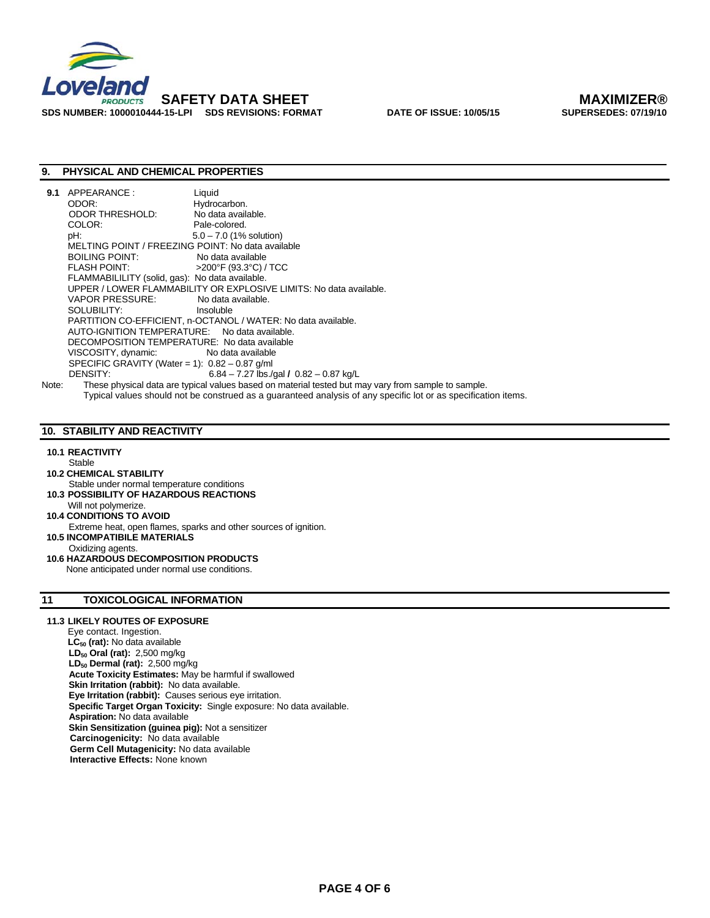

# **9. PHYSICAL AND CHEMICAL PROPERTIES**

| 9.1   | APPEARANCE :                                                                                                   | Liquid                                                                                              |
|-------|----------------------------------------------------------------------------------------------------------------|-----------------------------------------------------------------------------------------------------|
|       | ODOR:                                                                                                          | Hydrocarbon.                                                                                        |
|       | ODOR THRESHOLD:                                                                                                | No data available.                                                                                  |
|       | COLOR:                                                                                                         | Pale-colored.                                                                                       |
|       | pH:                                                                                                            | $5.0 - 7.0$ (1% solution)                                                                           |
|       | MELTING POINT / FREEZING POINT: No data available                                                              |                                                                                                     |
|       | BOILING POINT:                                                                                                 | No data available                                                                                   |
|       | <b>FLASH POINT:</b>                                                                                            | $>$ 200°F (93.3°C) / TCC                                                                            |
|       | FLAMMABILILITY (solid, gas): No data available.                                                                |                                                                                                     |
|       |                                                                                                                | UPPER / LOWER FLAMMABILITY OR EXPLOSIVE LIMITS: No data available.                                  |
|       | VAPOR PRESSURE: No data available.                                                                             |                                                                                                     |
|       | SOLUBILITY: And the solution of the solution of the solution of the solution of the solution of the solution o | Insoluble                                                                                           |
|       |                                                                                                                | PARTITION CO-EFFICIENT, n-OCTANOL / WATER: No data available.                                       |
|       | AUTO-IGNITION TEMPERATURE: No data available.                                                                  |                                                                                                     |
|       | DECOMPOSITION TEMPERATURE: No data available                                                                   |                                                                                                     |
|       | VISCOSITY, dynamic: No data available                                                                          |                                                                                                     |
|       | SPECIFIC GRAVITY (Water = 1): $0.82 - 0.87$ g/ml                                                               |                                                                                                     |
|       | DENSITY:                                                                                                       | $6.84 - 7.27$ lbs./gal / $0.82 - 0.87$ kg/L                                                         |
| Note: |                                                                                                                | These physical data are typical values based on material tested but may vary from sample to sample. |
|       |                                                                                                                |                                                                                                     |

Typical values should not be construed as a guaranteed analysis of any specific lot or as specification items.

# **10. STABILITY AND REACTIVITY**

# **10.1 REACTIVITY**

Stable

- **10.2 CHEMICAL STABILITY**
- Stable under normal temperature conditions **10.3 POSSIBILITY OF HAZARDOUS REACTIONS**
- Will not polymerize.

 **10.4 CONDITIONS TO AVOID** 

- Extreme heat, open flames, sparks and other sources of ignition.
- **10.5 INCOMPATIBILE MATERIALS**
- Oxidizing agents.
- **10.6 HAZARDOUS DECOMPOSITION PRODUCTS**

None anticipated under normal use conditions.

# **11 TOXICOLOGICAL INFORMATION**

#### **11.3 LIKELY ROUTES OF EXPOSURE**

Eye contact. Ingestion. LC<sub>50</sub> (rat): No data available  **LD50 Oral (rat):** 2,500 mg/kg **LD<sub>50</sub> Dermal (rat):** 2,500 mg/kg **Acute Toxicity Estimates:** May be harmful if swallowed **Skin Irritation (rabbit):** No data available.  **Eye Irritation (rabbit):** Causes serious eye irritation.  **Specific Target Organ Toxicity:** Single exposure: No data available. **Aspiration:** No data available **Skin Sensitization (guinea pig):** Not a sensitizer  **Carcinogenicity:** No data available **Germ Cell Mutagenicity:** No data available **Interactive Effects:** None known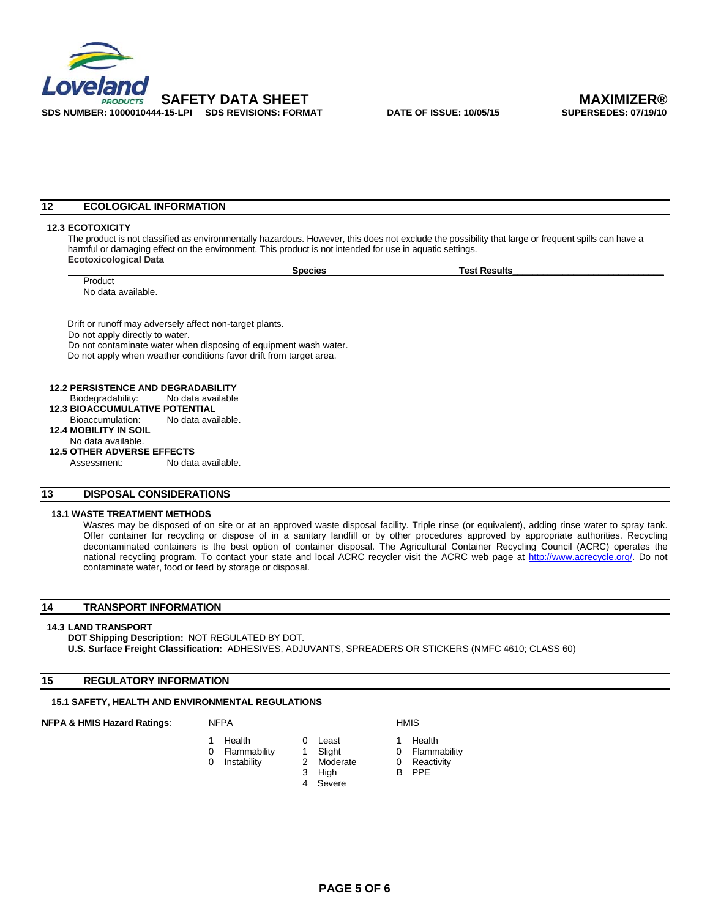

# **12 ECOLOGICAL INFORMATION**

### **12.3 ECOTOXICITY**

The product is not classified as environmentally hazardous. However, this does not exclude the possibility that large or frequent spills can have a harmful or damaging effect on the environment. This product is not intended for use in aquatic settings. **Ecotoxicological Data** 

|                                           |                                                                    | <b>Species</b> | <b>Test Results</b> |  |
|-------------------------------------------|--------------------------------------------------------------------|----------------|---------------------|--|
| Product                                   |                                                                    |                |                     |  |
| No data available.                        |                                                                    |                |                     |  |
|                                           |                                                                    |                |                     |  |
|                                           | Drift or runoff may adversely affect non-target plants.            |                |                     |  |
| Do not apply directly to water.           |                                                                    |                |                     |  |
|                                           | Do not contaminate water when disposing of equipment wash water.   |                |                     |  |
|                                           | Do not apply when weather conditions favor drift from target area. |                |                     |  |
|                                           |                                                                    |                |                     |  |
| <b>12.2 PERSISTENCE AND DEGRADABILITY</b> |                                                                    |                |                     |  |
| Biodegradability:                         | No data available                                                  |                |                     |  |
| <b>12.3 BIOACCUMULATIVE POTENTIAL</b>     |                                                                    |                |                     |  |
| Bioaccumulation:                          | No data available.                                                 |                |                     |  |
| <b>12.4 MOBILITY IN SOIL</b>              |                                                                    |                |                     |  |
| No data available.                        |                                                                    |                |                     |  |
| <b>12.5 OTHER ADVERSE EFFECTS</b>         |                                                                    |                |                     |  |
| Assessment:                               | No data available.                                                 |                |                     |  |

### **13 DISPOSAL CONSIDERATIONS**

#### **13.1 WASTE TREATMENT METHODS**

Wastes may be disposed of on site or at an approved waste disposal facility. Triple rinse (or equivalent), adding rinse water to spray tank. Offer container for recycling or dispose of in a sanitary landfill or by other procedures approved by appropriate authorities. Recycling decontaminated containers is the best option of container disposal. The Agricultural Container Recycling Council (ACRC) operates the national recycling program. To contact your state and local ACRC recycler visit the ACRC web page at http://www.acrecycle.org/. Do not contaminate water, food or feed by storage or disposal.

# **14 TRANSPORT INFORMATION**

#### **14.3 LAND TRANSPORT**

**DOT Shipping Description:** NOT REGULATED BY DOT. **U.S. Surface Freight Classification:** ADHESIVES, ADJUVANTS, SPREADERS OR STICKERS (NMFC 4610; CLASS 60)

#### **15 REGULATORY INFORMATION**

# **15.1 SAFETY, HEALTH AND ENVIRONMENTAL REGULATIONS**

# **NFPA & HMIS Hazard Ratings:** NFPA **NETA HMIS**

- 1 Health 0 Least 1 Health
	-
	-
- 3 High B PPE<br>4 Severe **Severe**
- 
- 
- 0 Flammability 1 Slight 0 Flammability<br>0 Instability 2 Moderate 0 Reactivity 0 Instability 2 Moderate 0 Reactivity
	-